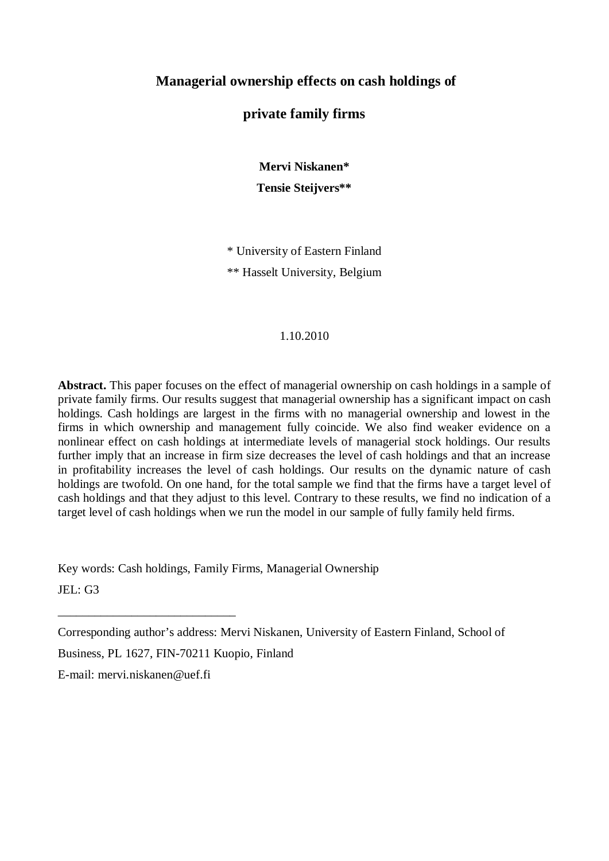## **Managerial ownership effects on cash holdings of**

## **private family firms**

**Mervi Niskanen\* Tensie Steijvers\*\***

\* University of Eastern Finland \*\* Hasselt University, Belgium

#### 1.10.2010

**Abstract.** This paper focuses on the effect of managerial ownership on cash holdings in a sample of private family firms. Our results suggest that managerial ownership has a significant impact on cash holdings. Cash holdings are largest in the firms with no managerial ownership and lowest in the firms in which ownership and management fully coincide. We also find weaker evidence on a nonlinear effect on cash holdings at intermediate levels of managerial stock holdings. Our results further imply that an increase in firm size decreases the level of cash holdings and that an increase in profitability increases the level of cash holdings. Our results on the dynamic nature of cash holdings are twofold. On one hand, for the total sample we find that the firms have a target level of cash holdings and that they adjust to this level. Contrary to these results, we find no indication of a target level of cash holdings when we run the model in our sample of fully family held firms.

Key words: Cash holdings, Family Firms, Managerial Ownership

JEL: G3

Business, PL 1627, FIN-70211 Kuopio, Finland

E-mail: mervi.niskanen@uef.fi

\_\_\_\_\_\_\_\_\_\_\_\_\_\_\_\_\_\_\_\_\_\_\_\_\_\_\_\_\_

Corresponding author's address: Mervi Niskanen, University of Eastern Finland, School of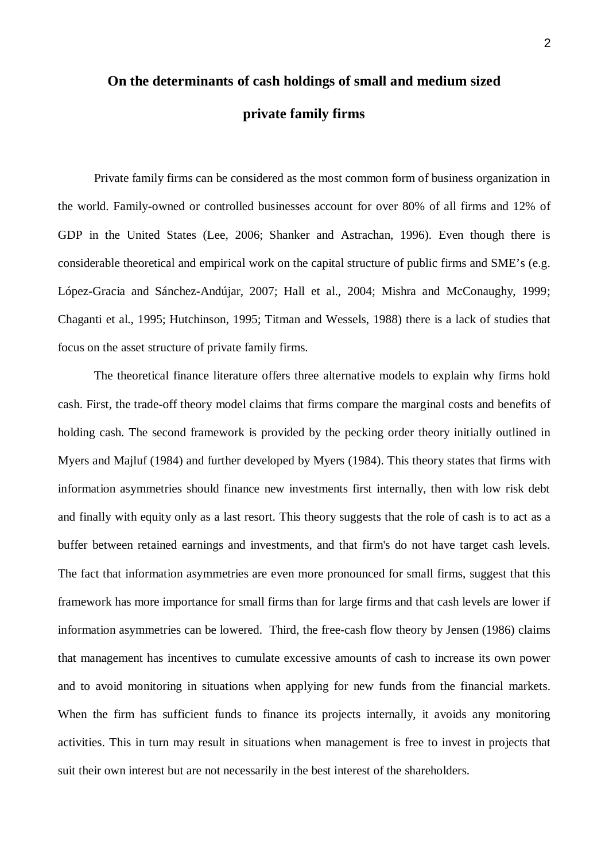# **On the determinants of cash holdings of small and medium sized private family firms**

Private family firms can be considered as the most common form of business organization in the world. Family-owned or controlled businesses account for over 80% of all firms and 12% of GDP in the United States (Lee, 2006; Shanker and Astrachan, 1996). Even though there is considerable theoretical and empirical work on the capital structure of public firms and SME's (e.g. López-Gracia and Sánchez-Andújar, 2007; Hall et al., 2004; Mishra and McConaughy, 1999; Chaganti et al., 1995; Hutchinson, 1995; Titman and Wessels, 1988) there is a lack of studies that focus on the asset structure of private family firms.

The theoretical finance literature offers three alternative models to explain why firms hold cash. First, the trade-off theory model claims that firms compare the marginal costs and benefits of holding cash. The second framework is provided by the pecking order theory initially outlined in Myers and Majluf (1984) and further developed by Myers (1984). This theory states that firms with information asymmetries should finance new investments first internally, then with low risk debt and finally with equity only as a last resort. This theory suggests that the role of cash is to act as a buffer between retained earnings and investments, and that firm's do not have target cash levels. The fact that information asymmetries are even more pronounced for small firms, suggest that this framework has more importance for small firms than for large firms and that cash levels are lower if information asymmetries can be lowered. Third, the free-cash flow theory by Jensen (1986) claims that management has incentives to cumulate excessive amounts of cash to increase its own power and to avoid monitoring in situations when applying for new funds from the financial markets. When the firm has sufficient funds to finance its projects internally, it avoids any monitoring activities. This in turn may result in situations when management is free to invest in projects that suit their own interest but are not necessarily in the best interest of the shareholders.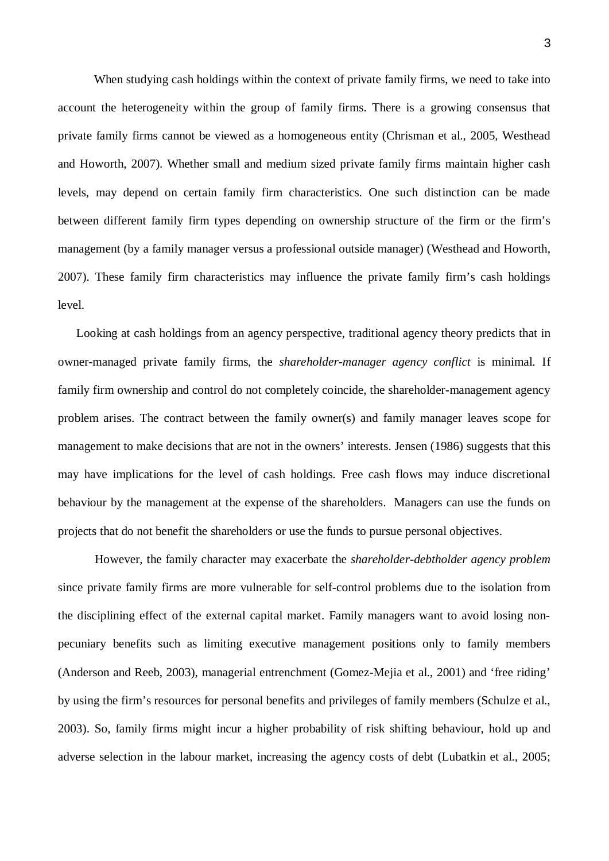When studying cash holdings within the context of private family firms, we need to take into account the heterogeneity within the group of family firms. There is a growing consensus that private family firms cannot be viewed as a homogeneous entity (Chrisman et al., 2005, Westhead and Howorth, 2007). Whether small and medium sized private family firms maintain higher cash levels, may depend on certain family firm characteristics. One such distinction can be made between different family firm types depending on ownership structure of the firm or the firm's management (by a family manager versus a professional outside manager) (Westhead and Howorth, 2007). These family firm characteristics may influence the private family firm's cash holdings level.

Looking at cash holdings from an agency perspective, traditional agency theory predicts that in owner-managed private family firms, the *shareholder-manager agency conflict* is minimal. If family firm ownership and control do not completely coincide, the shareholder-management agency problem arises. The contract between the family owner(s) and family manager leaves scope for management to make decisions that are not in the owners' interests. Jensen (1986) suggests that this may have implications for the level of cash holdings. Free cash flows may induce discretional behaviour by the management at the expense of the shareholders. Managers can use the funds on projects that do not benefit the shareholders or use the funds to pursue personal objectives.

 However, the family character may exacerbate the *shareholder-debtholder agency problem* since private family firms are more vulnerable for self-control problems due to the isolation from the disciplining effect of the external capital market. Family managers want to avoid losing nonpecuniary benefits such as limiting executive management positions only to family members (Anderson and Reeb, 2003), managerial entrenchment (Gomez-Mejia et al., 2001) and 'free riding' by using the firm's resources for personal benefits and privileges of family members (Schulze et al., 2003). So, family firms might incur a higher probability of risk shifting behaviour, hold up and adverse selection in the labour market, increasing the agency costs of debt (Lubatkin et al., 2005;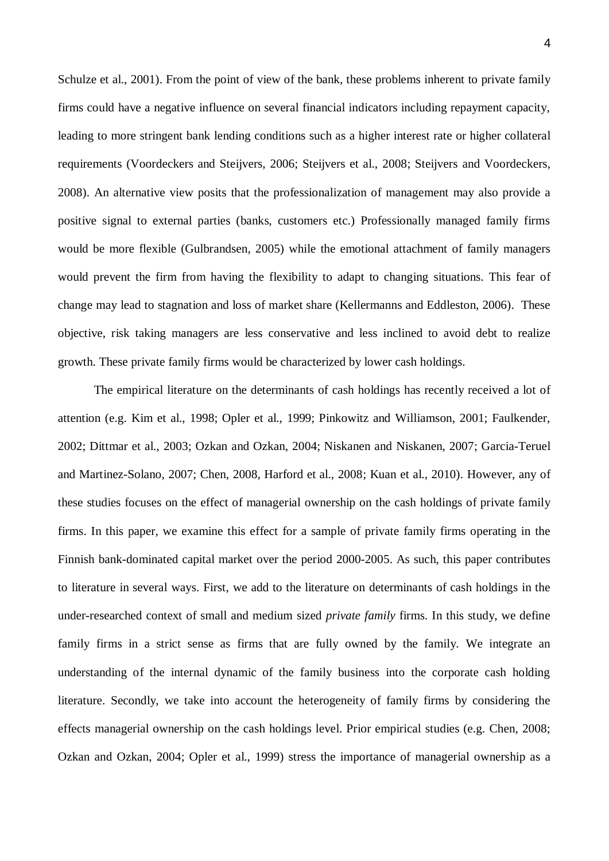Schulze et al., 2001). From the point of view of the bank, these problems inherent to private family firms could have a negative influence on several financial indicators including repayment capacity, leading to more stringent bank lending conditions such as a higher interest rate or higher collateral requirements (Voordeckers and Steijvers, 2006; Steijvers et al., 2008; Steijvers and Voordeckers, 2008). An alternative view posits that the professionalization of management may also provide a positive signal to external parties (banks, customers etc.) Professionally managed family firms would be more flexible (Gulbrandsen, 2005) while the emotional attachment of family managers would prevent the firm from having the flexibility to adapt to changing situations. This fear of change may lead to stagnation and loss of market share (Kellermanns and Eddleston, 2006). These objective, risk taking managers are less conservative and less inclined to avoid debt to realize growth. These private family firms would be characterized by lower cash holdings.

The empirical literature on the determinants of cash holdings has recently received a lot of attention (e.g. Kim et al., 1998; Opler et al., 1999; Pinkowitz and Williamson, 2001; Faulkender, 2002; Dittmar et al., 2003; Ozkan and Ozkan, 2004; Niskanen and Niskanen, 2007; Garcia-Teruel and Martinez-Solano, 2007; Chen, 2008, Harford et al., 2008; Kuan et al., 2010). However, any of these studies focuses on the effect of managerial ownership on the cash holdings of private family firms. In this paper, we examine this effect for a sample of private family firms operating in the Finnish bank-dominated capital market over the period 2000-2005. As such, this paper contributes to literature in several ways. First, we add to the literature on determinants of cash holdings in the under-researched context of small and medium sized *private family* firms. In this study, we define family firms in a strict sense as firms that are fully owned by the family. We integrate an understanding of the internal dynamic of the family business into the corporate cash holding literature. Secondly, we take into account the heterogeneity of family firms by considering the effects managerial ownership on the cash holdings level. Prior empirical studies (e.g. Chen, 2008; Ozkan and Ozkan, 2004; Opler et al., 1999) stress the importance of managerial ownership as a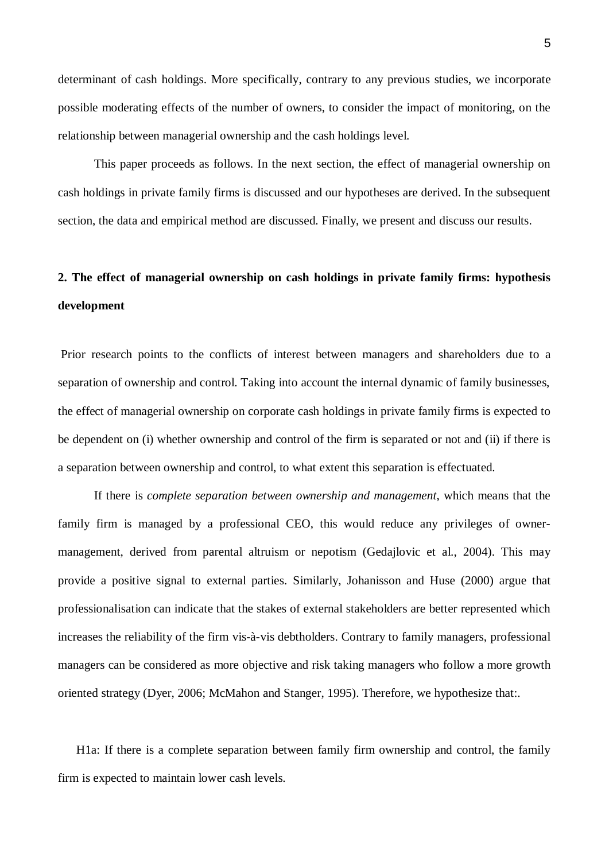determinant of cash holdings. More specifically, contrary to any previous studies, we incorporate possible moderating effects of the number of owners, to consider the impact of monitoring, on the relationship between managerial ownership and the cash holdings level.

This paper proceeds as follows. In the next section, the effect of managerial ownership on cash holdings in private family firms is discussed and our hypotheses are derived. In the subsequent section, the data and empirical method are discussed. Finally, we present and discuss our results.

## **2. The effect of managerial ownership on cash holdings in private family firms: hypothesis development**

 Prior research points to the conflicts of interest between managers and shareholders due to a separation of ownership and control. Taking into account the internal dynamic of family businesses, the effect of managerial ownership on corporate cash holdings in private family firms is expected to be dependent on (i) whether ownership and control of the firm is separated or not and (ii) if there is a separation between ownership and control, to what extent this separation is effectuated.

If there is *complete separation between ownership and management*, which means that the family firm is managed by a professional CEO, this would reduce any privileges of ownermanagement, derived from parental altruism or nepotism (Gedajlovic et al., 2004). This may provide a positive signal to external parties. Similarly, Johanisson and Huse (2000) argue that professionalisation can indicate that the stakes of external stakeholders are better represented which increases the reliability of the firm vis-à-vis debtholders. Contrary to family managers, professional managers can be considered as more objective and risk taking managers who follow a more growth oriented strategy (Dyer, 2006; McMahon and Stanger, 1995). Therefore, we hypothesize that:.

H1a: If there is a complete separation between family firm ownership and control, the family firm is expected to maintain lower cash levels.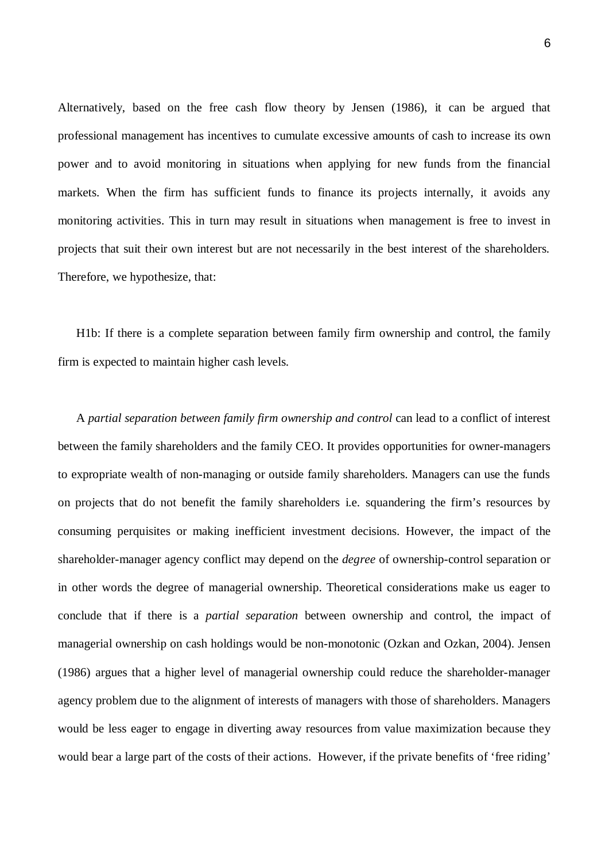Alternatively, based on the free cash flow theory by Jensen (1986), it can be argued that professional management has incentives to cumulate excessive amounts of cash to increase its own power and to avoid monitoring in situations when applying for new funds from the financial markets. When the firm has sufficient funds to finance its projects internally, it avoids any monitoring activities. This in turn may result in situations when management is free to invest in projects that suit their own interest but are not necessarily in the best interest of the shareholders. Therefore, we hypothesize, that:

H1b: If there is a complete separation between family firm ownership and control, the family firm is expected to maintain higher cash levels.

A *partial separation between family firm ownership and control* can lead to a conflict of interest between the family shareholders and the family CEO. It provides opportunities for owner-managers to expropriate wealth of non-managing or outside family shareholders. Managers can use the funds on projects that do not benefit the family shareholders i.e. squandering the firm's resources by consuming perquisites or making inefficient investment decisions. However, the impact of the shareholder-manager agency conflict may depend on the *degree* of ownership-control separation or in other words the degree of managerial ownership. Theoretical considerations make us eager to conclude that if there is a *partial separation* between ownership and control, the impact of managerial ownership on cash holdings would be non-monotonic (Ozkan and Ozkan, 2004). Jensen (1986) argues that a higher level of managerial ownership could reduce the shareholder-manager agency problem due to the alignment of interests of managers with those of shareholders. Managers would be less eager to engage in diverting away resources from value maximization because they would bear a large part of the costs of their actions. However, if the private benefits of 'free riding'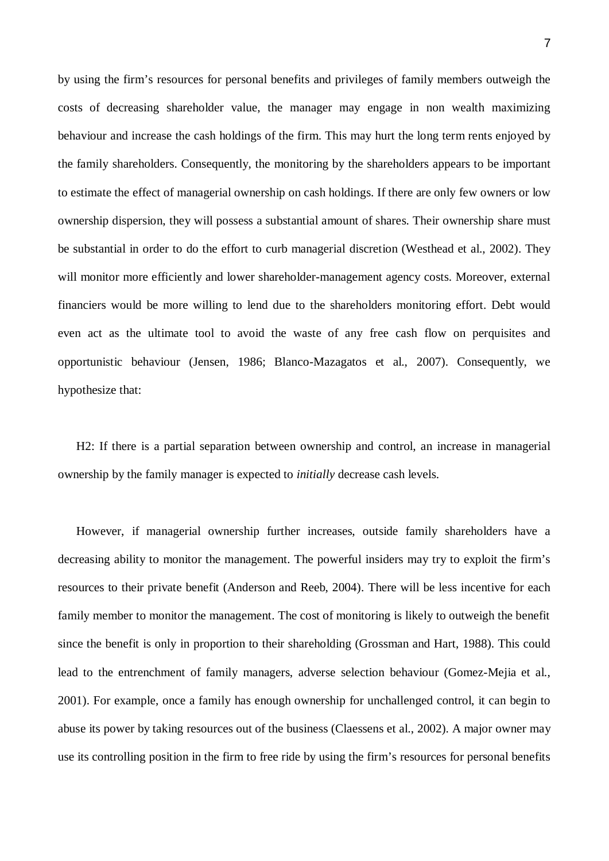by using the firm's resources for personal benefits and privileges of family members outweigh the costs of decreasing shareholder value, the manager may engage in non wealth maximizing behaviour and increase the cash holdings of the firm. This may hurt the long term rents enjoyed by the family shareholders. Consequently, the monitoring by the shareholders appears to be important to estimate the effect of managerial ownership on cash holdings. If there are only few owners or low ownership dispersion, they will possess a substantial amount of shares. Their ownership share must be substantial in order to do the effort to curb managerial discretion (Westhead et al., 2002). They will monitor more efficiently and lower shareholder-management agency costs. Moreover, external financiers would be more willing to lend due to the shareholders monitoring effort. Debt would even act as the ultimate tool to avoid the waste of any free cash flow on perquisites and opportunistic behaviour (Jensen, 1986; Blanco-Mazagatos et al., 2007). Consequently, we hypothesize that:

H2: If there is a partial separation between ownership and control, an increase in managerial ownership by the family manager is expected to *initially* decrease cash levels.

However, if managerial ownership further increases, outside family shareholders have a decreasing ability to monitor the management. The powerful insiders may try to exploit the firm's resources to their private benefit (Anderson and Reeb, 2004). There will be less incentive for each family member to monitor the management. The cost of monitoring is likely to outweigh the benefit since the benefit is only in proportion to their shareholding (Grossman and Hart, 1988). This could lead to the entrenchment of family managers, adverse selection behaviour (Gomez-Mejia et al., 2001). For example, once a family has enough ownership for unchallenged control, it can begin to abuse its power by taking resources out of the business (Claessens et al., 2002). A major owner may use its controlling position in the firm to free ride by using the firm's resources for personal benefits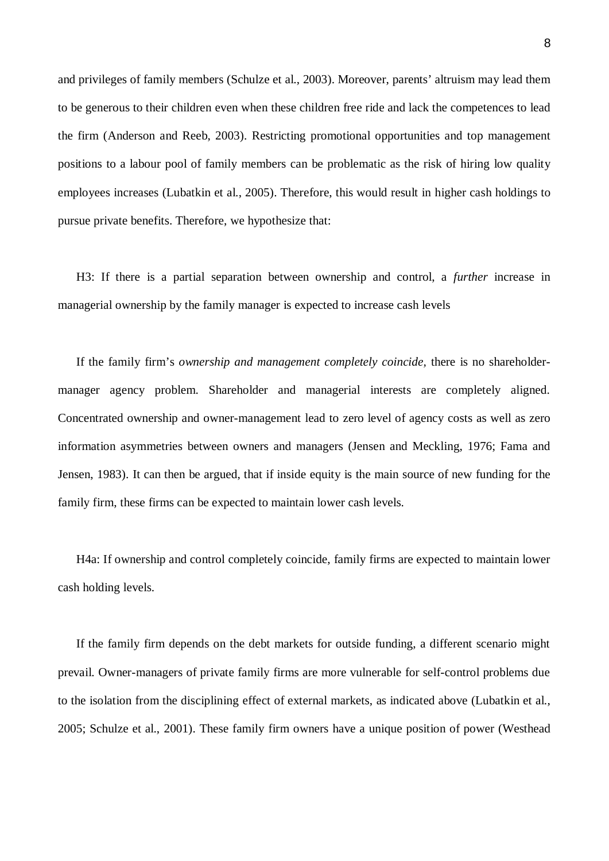and privileges of family members (Schulze et al., 2003). Moreover, parents' altruism may lead them to be generous to their children even when these children free ride and lack the competences to lead the firm (Anderson and Reeb, 2003). Restricting promotional opportunities and top management positions to a labour pool of family members can be problematic as the risk of hiring low quality employees increases (Lubatkin et al., 2005). Therefore, this would result in higher cash holdings to pursue private benefits. Therefore, we hypothesize that:

H3: If there is a partial separation between ownership and control, a *further* increase in managerial ownership by the family manager is expected to increase cash levels

If the family firm's *ownership and management completely coincide,* there is no shareholdermanager agency problem. Shareholder and managerial interests are completely aligned. Concentrated ownership and owner-management lead to zero level of agency costs as well as zero information asymmetries between owners and managers (Jensen and Meckling, 1976; Fama and Jensen, 1983). It can then be argued, that if inside equity is the main source of new funding for the family firm, these firms can be expected to maintain lower cash levels.

H4a: If ownership and control completely coincide, family firms are expected to maintain lower cash holding levels.

If the family firm depends on the debt markets for outside funding, a different scenario might prevail. Owner-managers of private family firms are more vulnerable for self-control problems due to the isolation from the disciplining effect of external markets, as indicated above (Lubatkin et al., 2005; Schulze et al., 2001). These family firm owners have a unique position of power (Westhead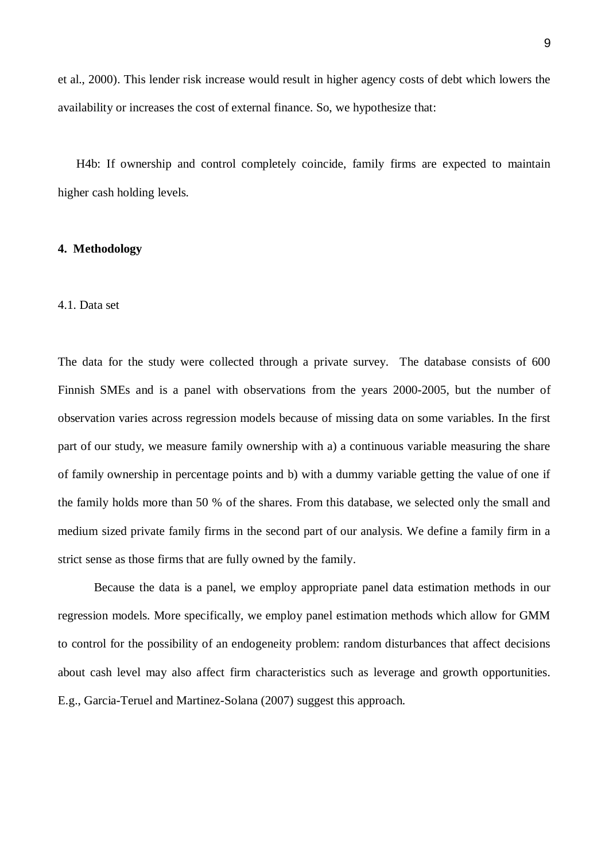et al., 2000). This lender risk increase would result in higher agency costs of debt which lowers the availability or increases the cost of external finance. So, we hypothesize that:

H4b: If ownership and control completely coincide, family firms are expected to maintain higher cash holding levels.

#### **4. Methodology**

#### 4.1. Data set

The data for the study were collected through a private survey. The database consists of 600 Finnish SMEs and is a panel with observations from the years 2000-2005, but the number of observation varies across regression models because of missing data on some variables. In the first part of our study, we measure family ownership with a) a continuous variable measuring the share of family ownership in percentage points and b) with a dummy variable getting the value of one if the family holds more than 50 % of the shares. From this database, we selected only the small and medium sized private family firms in the second part of our analysis. We define a family firm in a strict sense as those firms that are fully owned by the family.

Because the data is a panel, we employ appropriate panel data estimation methods in our regression models. More specifically, we employ panel estimation methods which allow for GMM to control for the possibility of an endogeneity problem: random disturbances that affect decisions about cash level may also affect firm characteristics such as leverage and growth opportunities. E.g., Garcia-Teruel and Martinez-Solana (2007) suggest this approach.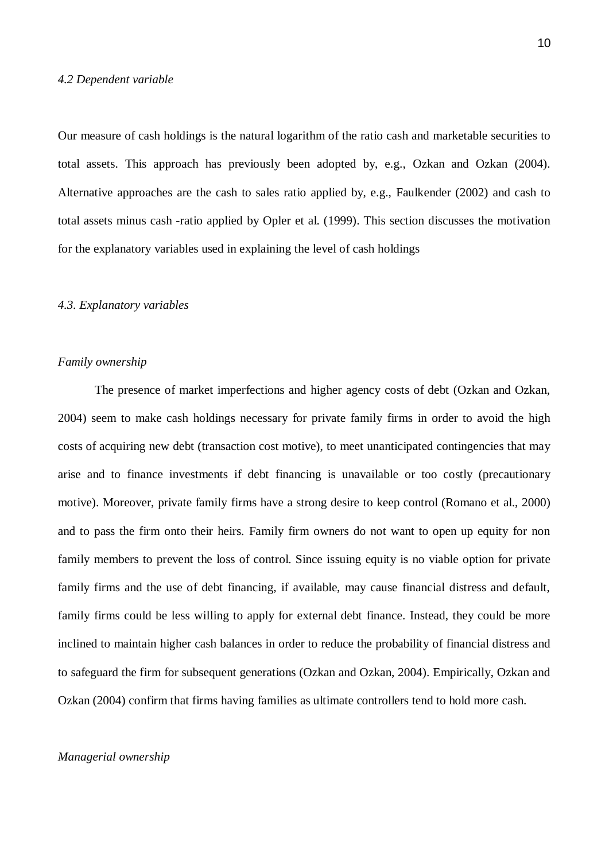#### *4.2 Dependent variable*

Our measure of cash holdings is the natural logarithm of the ratio cash and marketable securities to total assets. This approach has previously been adopted by, e.g., Ozkan and Ozkan (2004). Alternative approaches are the cash to sales ratio applied by, e.g., Faulkender (2002) and cash to total assets minus cash -ratio applied by Opler et al. (1999). This section discusses the motivation for the explanatory variables used in explaining the level of cash holdings

#### *4.3. Explanatory variables*

#### *Family ownership*

 The presence of market imperfections and higher agency costs of debt (Ozkan and Ozkan, 2004) seem to make cash holdings necessary for private family firms in order to avoid the high costs of acquiring new debt (transaction cost motive), to meet unanticipated contingencies that may arise and to finance investments if debt financing is unavailable or too costly (precautionary motive). Moreover, private family firms have a strong desire to keep control (Romano et al., 2000) and to pass the firm onto their heirs. Family firm owners do not want to open up equity for non family members to prevent the loss of control. Since issuing equity is no viable option for private family firms and the use of debt financing, if available, may cause financial distress and default, family firms could be less willing to apply for external debt finance. Instead, they could be more inclined to maintain higher cash balances in order to reduce the probability of financial distress and to safeguard the firm for subsequent generations (Ozkan and Ozkan, 2004). Empirically, Ozkan and Ozkan (2004) confirm that firms having families as ultimate controllers tend to hold more cash.

#### *Managerial ownership*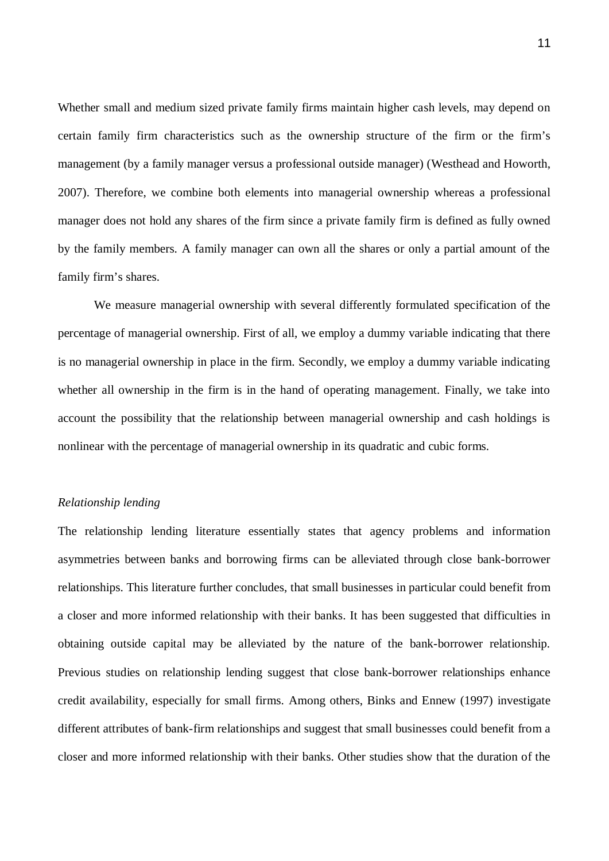Whether small and medium sized private family firms maintain higher cash levels, may depend on certain family firm characteristics such as the ownership structure of the firm or the firm's management (by a family manager versus a professional outside manager) (Westhead and Howorth, 2007). Therefore, we combine both elements into managerial ownership whereas a professional manager does not hold any shares of the firm since a private family firm is defined as fully owned by the family members. A family manager can own all the shares or only a partial amount of the family firm's shares.

We measure managerial ownership with several differently formulated specification of the percentage of managerial ownership. First of all, we employ a dummy variable indicating that there is no managerial ownership in place in the firm. Secondly, we employ a dummy variable indicating whether all ownership in the firm is in the hand of operating management. Finally, we take into account the possibility that the relationship between managerial ownership and cash holdings is nonlinear with the percentage of managerial ownership in its quadratic and cubic forms.

#### *Relationship lending*

The relationship lending literature essentially states that agency problems and information asymmetries between banks and borrowing firms can be alleviated through close bank-borrower relationships. This literature further concludes, that small businesses in particular could benefit from a closer and more informed relationship with their banks. It has been suggested that difficulties in obtaining outside capital may be alleviated by the nature of the bank-borrower relationship. Previous studies on relationship lending suggest that close bank-borrower relationships enhance credit availability, especially for small firms. Among others, Binks and Ennew (1997) investigate different attributes of bank-firm relationships and suggest that small businesses could benefit from a closer and more informed relationship with their banks. Other studies show that the duration of the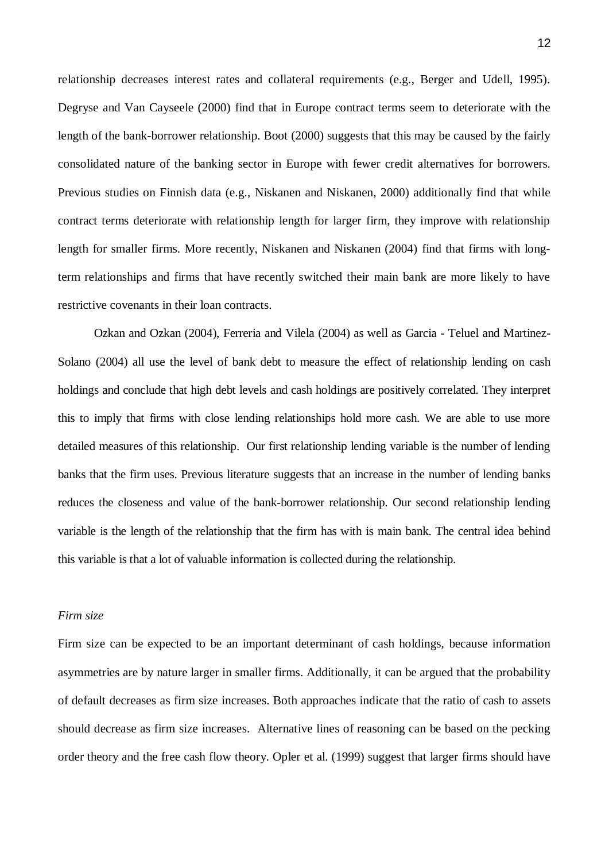relationship decreases interest rates and collateral requirements (e.g., Berger and Udell, 1995). Degryse and Van Cayseele (2000) find that in Europe contract terms seem to deteriorate with the length of the bank-borrower relationship. Boot (2000) suggests that this may be caused by the fairly consolidated nature of the banking sector in Europe with fewer credit alternatives for borrowers. Previous studies on Finnish data (e.g., Niskanen and Niskanen, 2000) additionally find that while contract terms deteriorate with relationship length for larger firm, they improve with relationship length for smaller firms. More recently, Niskanen and Niskanen (2004) find that firms with longterm relationships and firms that have recently switched their main bank are more likely to have restrictive covenants in their loan contracts.

Ozkan and Ozkan (2004), Ferreria and Vilela (2004) as well as Garcia - Teluel and Martinez-Solano (2004) all use the level of bank debt to measure the effect of relationship lending on cash holdings and conclude that high debt levels and cash holdings are positively correlated. They interpret this to imply that firms with close lending relationships hold more cash. We are able to use more detailed measures of this relationship. Our first relationship lending variable is the number of lending banks that the firm uses. Previous literature suggests that an increase in the number of lending banks reduces the closeness and value of the bank-borrower relationship. Our second relationship lending variable is the length of the relationship that the firm has with is main bank. The central idea behind this variable is that a lot of valuable information is collected during the relationship.

#### *Firm size*

Firm size can be expected to be an important determinant of cash holdings, because information asymmetries are by nature larger in smaller firms. Additionally, it can be argued that the probability of default decreases as firm size increases. Both approaches indicate that the ratio of cash to assets should decrease as firm size increases. Alternative lines of reasoning can be based on the pecking order theory and the free cash flow theory. Opler et al. (1999) suggest that larger firms should have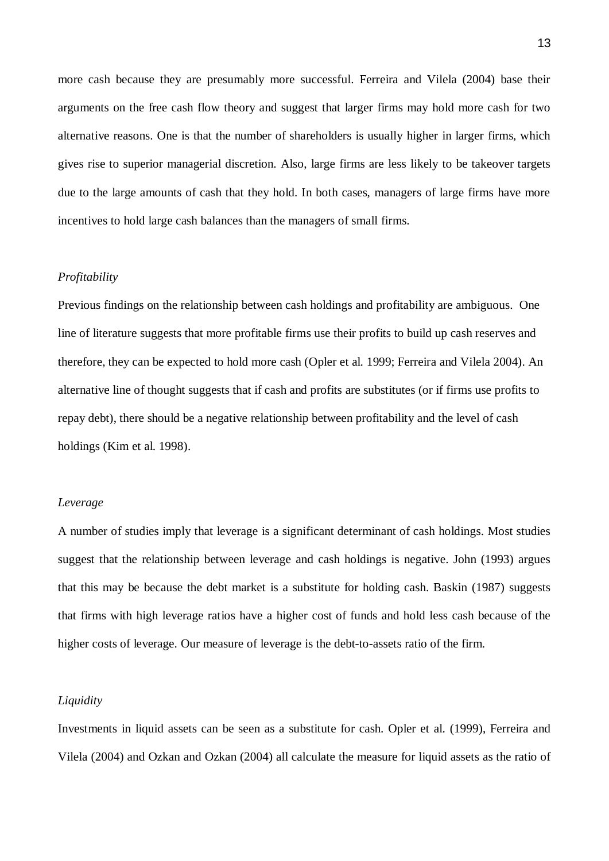more cash because they are presumably more successful. Ferreira and Vilela (2004) base their arguments on the free cash flow theory and suggest that larger firms may hold more cash for two alternative reasons. One is that the number of shareholders is usually higher in larger firms, which gives rise to superior managerial discretion. Also, large firms are less likely to be takeover targets due to the large amounts of cash that they hold. In both cases, managers of large firms have more incentives to hold large cash balances than the managers of small firms.

#### *Profitability*

Previous findings on the relationship between cash holdings and profitability are ambiguous. One line of literature suggests that more profitable firms use their profits to build up cash reserves and therefore, they can be expected to hold more cash (Opler et al. 1999; Ferreira and Vilela 2004). An alternative line of thought suggests that if cash and profits are substitutes (or if firms use profits to repay debt), there should be a negative relationship between profitability and the level of cash holdings (Kim et al. 1998).

#### *Leverage*

A number of studies imply that leverage is a significant determinant of cash holdings. Most studies suggest that the relationship between leverage and cash holdings is negative. John (1993) argues that this may be because the debt market is a substitute for holding cash. Baskin (1987) suggests that firms with high leverage ratios have a higher cost of funds and hold less cash because of the higher costs of leverage. Our measure of leverage is the debt-to-assets ratio of the firm.

#### *Liquidity*

Investments in liquid assets can be seen as a substitute for cash. Opler et al. (1999), Ferreira and Vilela (2004) and Ozkan and Ozkan (2004) all calculate the measure for liquid assets as the ratio of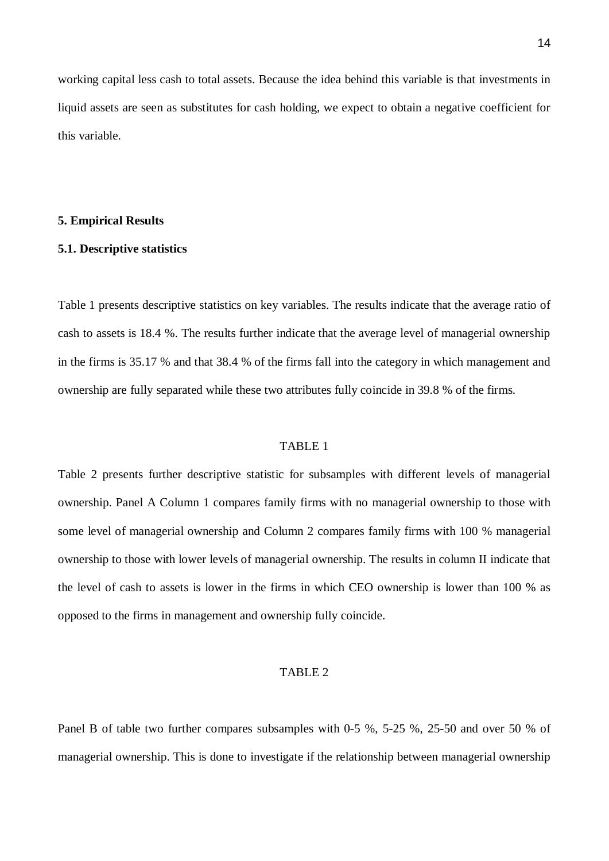working capital less cash to total assets. Because the idea behind this variable is that investments in liquid assets are seen as substitutes for cash holding, we expect to obtain a negative coefficient for this variable.

#### **5. Empirical Results**

#### **5.1. Descriptive statistics**

Table 1 presents descriptive statistics on key variables. The results indicate that the average ratio of cash to assets is 18.4 %. The results further indicate that the average level of managerial ownership in the firms is 35.17 % and that 38.4 % of the firms fall into the category in which management and ownership are fully separated while these two attributes fully coincide in 39.8 % of the firms.

#### TABLE 1

Table 2 presents further descriptive statistic for subsamples with different levels of managerial ownership. Panel A Column 1 compares family firms with no managerial ownership to those with some level of managerial ownership and Column 2 compares family firms with 100 % managerial ownership to those with lower levels of managerial ownership. The results in column II indicate that the level of cash to assets is lower in the firms in which CEO ownership is lower than 100 % as opposed to the firms in management and ownership fully coincide.

#### TABLE 2

Panel B of table two further compares subsamples with 0-5 %, 5-25 %, 25-50 and over 50 % of managerial ownership. This is done to investigate if the relationship between managerial ownership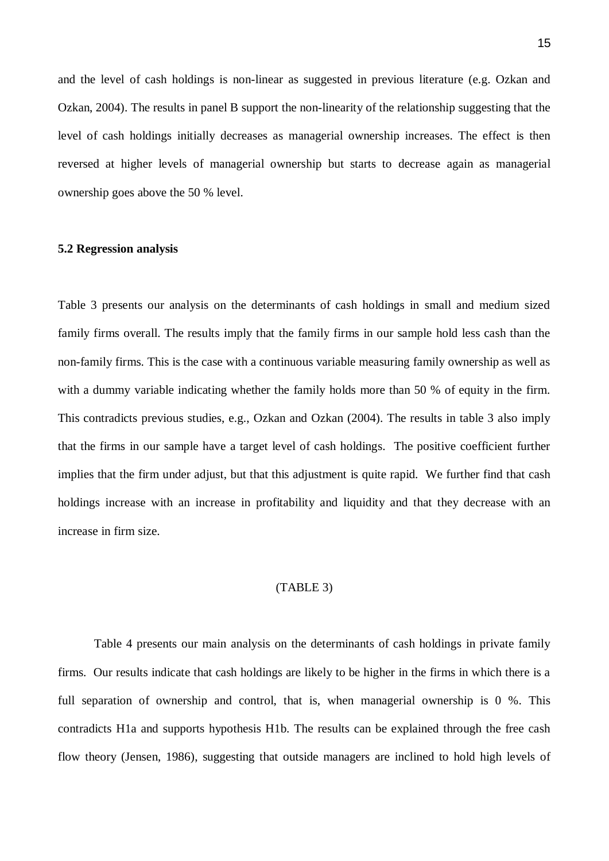and the level of cash holdings is non-linear as suggested in previous literature (e.g. Ozkan and Ozkan, 2004). The results in panel B support the non-linearity of the relationship suggesting that the level of cash holdings initially decreases as managerial ownership increases. The effect is then reversed at higher levels of managerial ownership but starts to decrease again as managerial ownership goes above the 50 % level.

#### **5.2 Regression analysis**

Table 3 presents our analysis on the determinants of cash holdings in small and medium sized family firms overall. The results imply that the family firms in our sample hold less cash than the non-family firms. This is the case with a continuous variable measuring family ownership as well as with a dummy variable indicating whether the family holds more than 50 % of equity in the firm. This contradicts previous studies, e.g., Ozkan and Ozkan (2004). The results in table 3 also imply that the firms in our sample have a target level of cash holdings. The positive coefficient further implies that the firm under adjust, but that this adjustment is quite rapid. We further find that cash holdings increase with an increase in profitability and liquidity and that they decrease with an increase in firm size.

#### (TABLE 3)

Table 4 presents our main analysis on the determinants of cash holdings in private family firms. Our results indicate that cash holdings are likely to be higher in the firms in which there is a full separation of ownership and control, that is, when managerial ownership is 0 %. This contradicts H1a and supports hypothesis H1b. The results can be explained through the free cash flow theory (Jensen, 1986), suggesting that outside managers are inclined to hold high levels of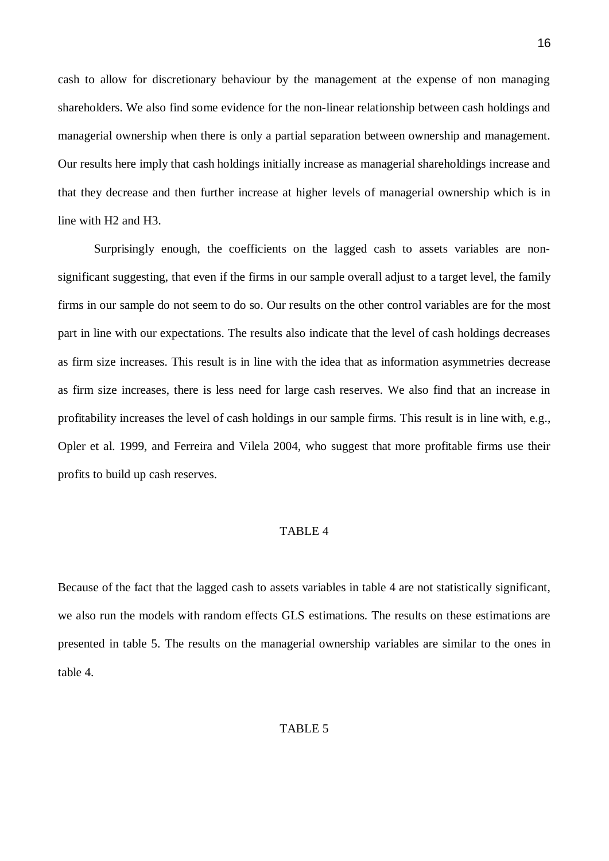cash to allow for discretionary behaviour by the management at the expense of non managing shareholders. We also find some evidence for the non-linear relationship between cash holdings and managerial ownership when there is only a partial separation between ownership and management. Our results here imply that cash holdings initially increase as managerial shareholdings increase and that they decrease and then further increase at higher levels of managerial ownership which is in line with H2 and H3.

Surprisingly enough, the coefficients on the lagged cash to assets variables are nonsignificant suggesting, that even if the firms in our sample overall adjust to a target level, the family firms in our sample do not seem to do so. Our results on the other control variables are for the most part in line with our expectations. The results also indicate that the level of cash holdings decreases as firm size increases. This result is in line with the idea that as information asymmetries decrease as firm size increases, there is less need for large cash reserves. We also find that an increase in profitability increases the level of cash holdings in our sample firms. This result is in line with, e.g., Opler et al. 1999, and Ferreira and Vilela 2004, who suggest that more profitable firms use their profits to build up cash reserves.

#### TABLE 4

Because of the fact that the lagged cash to assets variables in table 4 are not statistically significant, we also run the models with random effects GLS estimations. The results on these estimations are presented in table 5. The results on the managerial ownership variables are similar to the ones in table 4.

#### TABLE 5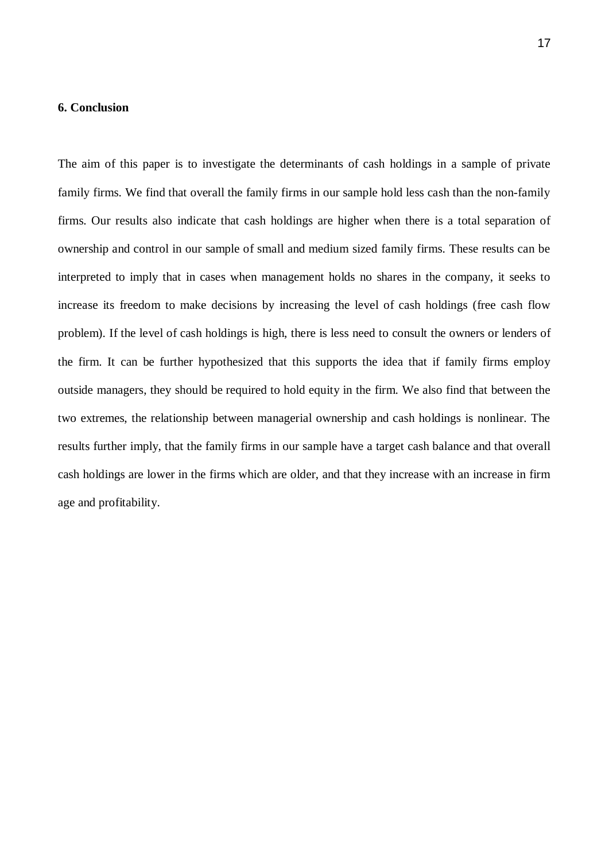#### **6. Conclusion**

The aim of this paper is to investigate the determinants of cash holdings in a sample of private family firms. We find that overall the family firms in our sample hold less cash than the non-family firms. Our results also indicate that cash holdings are higher when there is a total separation of ownership and control in our sample of small and medium sized family firms. These results can be interpreted to imply that in cases when management holds no shares in the company, it seeks to increase its freedom to make decisions by increasing the level of cash holdings (free cash flow problem). If the level of cash holdings is high, there is less need to consult the owners or lenders of the firm. It can be further hypothesized that this supports the idea that if family firms employ outside managers, they should be required to hold equity in the firm. We also find that between the two extremes, the relationship between managerial ownership and cash holdings is nonlinear. The results further imply, that the family firms in our sample have a target cash balance and that overall cash holdings are lower in the firms which are older, and that they increase with an increase in firm age and profitability.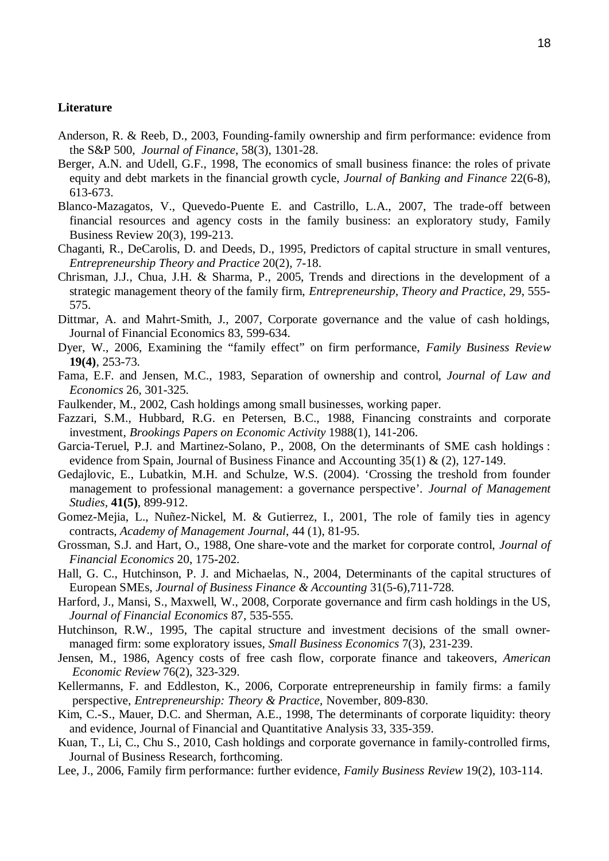#### **Literature**

- Anderson, R. & Reeb, D., 2003, Founding-family ownership and firm performance: evidence from the S&P 500, *Journal of Finance*, 58(3), 1301-28.
- Berger, A.N. and Udell, G.F., 1998, The economics of small business finance: the roles of private equity and debt markets in the financial growth cycle, *Journal of Banking and Finance* 22(6-8), 613-673.
- Blanco-Mazagatos, V., Quevedo-Puente E. and Castrillo, L.A., 2007, The trade-off between financial resources and agency costs in the family business: an exploratory study, Family Business Review 20(3), 199-213.
- Chaganti, R., DeCarolis, D. and Deeds, D., 1995, Predictors of capital structure in small ventures, *Entrepreneurship Theory and Practice* 20(2), 7-18.
- Chrisman, J.J., Chua, J.H. & Sharma, P., 2005, Trends and directions in the development of a strategic management theory of the family firm, *Entrepreneurship, Theory and Practice,* 29, 555- 575.
- Dittmar, A. and Mahrt-Smith, J., 2007, Corporate governance and the value of cash holdings, Journal of Financial Economics 83, 599-634.
- Dyer, W., 2006, Examining the "family effect" on firm performance, *Family Business Review* **19(4)**, 253-73.
- Fama, E.F. and Jensen, M.C., 1983, Separation of ownership and control, *Journal of Law and Economics* 26, 301-325.
- Faulkender, M., 2002, Cash holdings among small businesses, working paper.
- Fazzari, S.M., Hubbard, R.G. en Petersen, B.C., 1988, Financing constraints and corporate investment, *Brookings Papers on Economic Activity* 1988(1), 141-206.
- Garcia-Teruel, P.J. and Martinez-Solano, P., 2008, On the determinants of SME cash holdings : evidence from Spain, Journal of Business Finance and Accounting 35(1) & (2), 127-149.
- Gedajlovic, E., Lubatkin, M.H. and Schulze, W.S. (2004). 'Crossing the treshold from founder management to professional management: a governance perspective'. *Journal of Management Studies,* **41(5)**, 899-912.
- Gomez-Mejia, L., Nuñez-Nickel, M. & Gutierrez, I., 2001, The role of family ties in agency contracts, *Academy of Management Journal*, 44 (1), 81-95.
- Grossman, S.J. and Hart, O., 1988, One share-vote and the market for corporate control, *Journal of Financial Economics* 20, 175-202.
- Hall, G. C., Hutchinson, P. J. and Michaelas, N., 2004, Determinants of the capital structures of European SMEs*, Journal of Business Finance & Accounting* 31(5-6),711-728.
- Harford, J., Mansi, S., Maxwell, W., 2008, Corporate governance and firm cash holdings in the US, *Journal of Financial Economics* 87, 535-555.
- Hutchinson, R.W., 1995, The capital structure and investment decisions of the small ownermanaged firm: some exploratory issues, *Small Business Economics* 7(3), 231-239.
- Jensen, M., 1986, Agency costs of free cash flow, corporate finance and takeovers, *American Economic Review* 76(2), 323-329.
- Kellermanns, F. and Eddleston, K., 2006, Corporate entrepreneurship in family firms: a family perspective, *Entrepreneurship: Theory & Practice*, November, 809-830.
- Kim, C.-S., Mauer, D.C. and Sherman, A.E., 1998, The determinants of corporate liquidity: theory and evidence, Journal of Financial and Quantitative Analysis 33, 335-359.
- Kuan, T., Li, C., Chu S., 2010, Cash holdings and corporate governance in family-controlled firms, Journal of Business Research, forthcoming.
- Lee, J., 2006, Family firm performance: further evidence, *Family Business Review* 19(2), 103-114.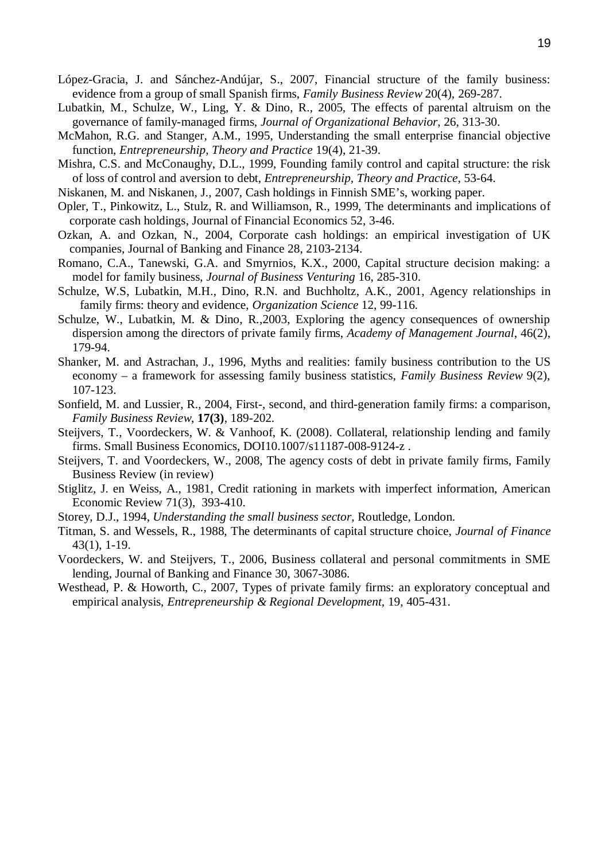- López-Gracia, J. and Sánchez-Andújar, S., 2007, Financial structure of the family business: evidence from a group of small Spanish firms, *Family Business Review* 20(4), 269-287.
- Lubatkin, M., Schulze, W., Ling, Y. & Dino, R., 2005, The effects of parental altruism on the governance of family-managed firms, *Journal of Organizational Behavior*, 26, 313-30.
- McMahon, R.G. and Stanger, A.M., 1995, Understanding the small enterprise financial objective function, *Entrepreneurship, Theory and Practice* 19(4), 21-39.
- Mishra, C.S. and McConaughy, D.L., 1999, Founding family control and capital structure: the risk of loss of control and aversion to debt, *Entrepreneurship, Theory and Practice,* 53-64.
- Niskanen, M. and Niskanen, J., 2007, Cash holdings in Finnish SME's, working paper.
- Opler, T., Pinkowitz, L., Stulz, R. and Williamson, R., 1999, The determinants and implications of corporate cash holdings, Journal of Financial Economics 52, 3-46.
- Ozkan, A. and Ozkan, N., 2004, Corporate cash holdings: an empirical investigation of UK companies, Journal of Banking and Finance 28, 2103-2134.
- Romano, C.A., Tanewski, G.A. and Smyrnios, K.X., 2000, Capital structure decision making: a model for family business, *Journal of Business Venturing* 16, 285-310.
- Schulze, W.S, Lubatkin, M.H., Dino, R.N. and Buchholtz, A.K., 2001, Agency relationships in family firms: theory and evidence, *Organization Science* 12, 99-116.
- Schulze, W., Lubatkin, M. & Dino, R.,2003, Exploring the agency consequences of ownership dispersion among the directors of private family firms, *Academy of Management Journal*, 46(2), 179-94.
- Shanker, M. and Astrachan, J., 1996, Myths and realities: family business contribution to the US economy – a framework for assessing family business statistics, *Family Business Review* 9(2), 107-123.
- Sonfield, M. and Lussier, R., 2004, First-, second, and third-generation family firms: a comparison, *Family Business Review*, **17(3)**, 189-202.
- Steijvers, T., Voordeckers, W. & Vanhoof, K. (2008). Collateral, relationship lending and family firms. Small Business Economics, DOI10.1007/s11187-008-9124-z .
- Steijvers, T. and Voordeckers, W., 2008, The agency costs of debt in private family firms, Family Business Review (in review)
- Stiglitz, J. en Weiss, A., 1981, Credit rationing in markets with imperfect information, American Economic Review 71(3), 393-410.
- Storey, D.J., 1994, *Understanding the small business sector*, Routledge, London.
- Titman, S. and Wessels, R., 1988, The determinants of capital structure choice, *Journal of Finance* 43(1), 1-19.
- Voordeckers, W. and Steijvers, T., 2006, Business collateral and personal commitments in SME lending, Journal of Banking and Finance 30, 3067-3086.
- Westhead, P. & Howorth, C., 2007, Types of private family firms: an exploratory conceptual and empirical analysis, *Entrepreneurship & Regional Development,* 19, 405-431.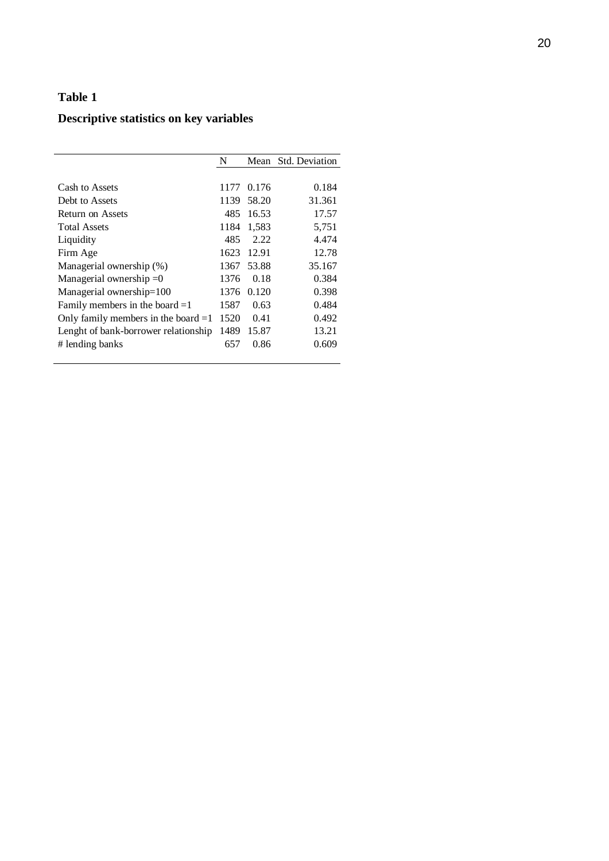## **Descriptive statistics on key variables**

|                                       | N    | Mean  | Std. Deviation |
|---------------------------------------|------|-------|----------------|
|                                       |      |       |                |
| Cash to Assets                        | 1177 | 0.176 | 0.184          |
| Debt to Assets                        | 1139 | 58.20 | 31.361         |
| Return on Assets                      | 485  | 16.53 | 17.57          |
| <b>Total Assets</b>                   | 1184 | 1,583 | 5,751          |
| Liquidity                             | 485  | 2.22  | 4.474          |
| Firm Age                              | 1623 | 12.91 | 12.78          |
| Managerial ownership (%)              | 1367 | 53.88 | 35.167         |
| Managerial ownership $=0$             | 1376 | 0.18  | 0.384          |
| Managerial ownership=100              | 1376 | 0.120 | 0.398          |
| Family members in the board $=1$      | 1587 | 0.63  | 0.484          |
| Only family members in the board $=1$ | 1520 | 0.41  | 0.492          |
| Lenght of bank-borrower relationship  | 1489 | 15.87 | 13.21          |
| # lending banks                       | 657  | 0.86  | 0.609          |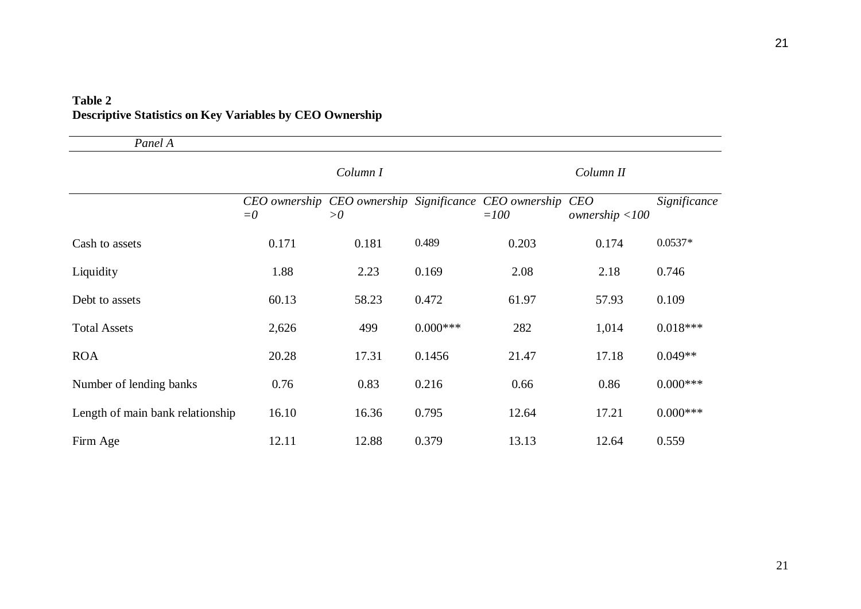| Panel A                          |       |          |             |                                                                  |                        |              |
|----------------------------------|-------|----------|-------------|------------------------------------------------------------------|------------------------|--------------|
|                                  |       | Column I |             |                                                                  | Column II              |              |
|                                  | $=0$  | >0       |             | CEO ownership CEO ownership Significance CEO ownership<br>$=100$ | CEO<br>ownership < 100 | Significance |
| Cash to assets                   | 0.171 | 0.181    | 0.489       | 0.203                                                            | 0.174                  | $0.0537*$    |
| Liquidity                        | 1.88  | 2.23     | 0.169       | 2.08                                                             | 2.18                   | 0.746        |
| Debt to assets                   | 60.13 | 58.23    | 0.472       | 61.97                                                            | 57.93                  | 0.109        |
| <b>Total Assets</b>              | 2,626 | 499      | $0.000$ *** | 282                                                              | 1,014                  | $0.018***$   |
| <b>ROA</b>                       | 20.28 | 17.31    | 0.1456      | 21.47                                                            | 17.18                  | $0.049**$    |
| Number of lending banks          | 0.76  | 0.83     | 0.216       | 0.66                                                             | 0.86                   | $0.000***$   |
| Length of main bank relationship | 16.10 | 16.36    | 0.795       | 12.64                                                            | 17.21                  | $0.000$ ***  |
| Firm Age                         | 12.11 | 12.88    | 0.379       | 13.13                                                            | 12.64                  | 0.559        |

## **Table 2 Descriptive Statistics on Key Variables by CEO Ownership**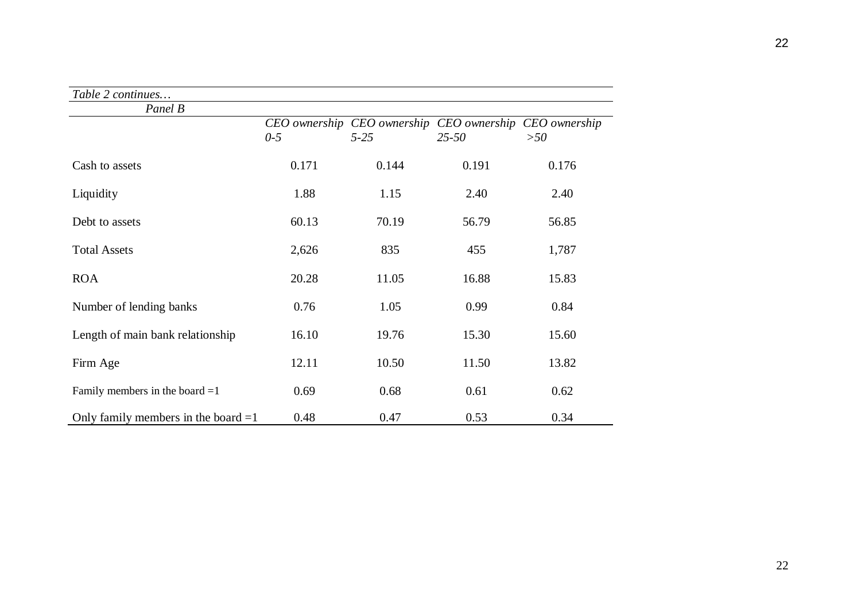| Table 2 continues                     |                        |                           |                            |                      |
|---------------------------------------|------------------------|---------------------------|----------------------------|----------------------|
| Panel B                               |                        |                           |                            |                      |
|                                       | CEO ownership<br>$0-5$ | CEO ownership<br>$5 - 25$ | CEO ownership<br>$25 - 50$ | CEO ownership<br>>50 |
| Cash to assets                        | 0.171                  | 0.144                     | 0.191                      | 0.176                |
| Liquidity                             | 1.88                   | 1.15                      | 2.40                       | 2.40                 |
| Debt to assets                        | 60.13                  | 70.19                     | 56.79                      | 56.85                |
| <b>Total Assets</b>                   | 2,626                  | 835                       | 455                        | 1,787                |
| <b>ROA</b>                            | 20.28                  | 11.05                     | 16.88                      | 15.83                |
| Number of lending banks               | 0.76                   | 1.05                      | 0.99                       | 0.84                 |
| Length of main bank relationship      | 16.10                  | 19.76                     | 15.30                      | 15.60                |
| Firm Age                              | 12.11                  | 10.50                     | 11.50                      | 13.82                |
| Family members in the board $=1$      | 0.69                   | 0.68                      | 0.61                       | 0.62                 |
| Only family members in the board $=1$ | 0.48                   | 0.47                      | 0.53                       | 0.34                 |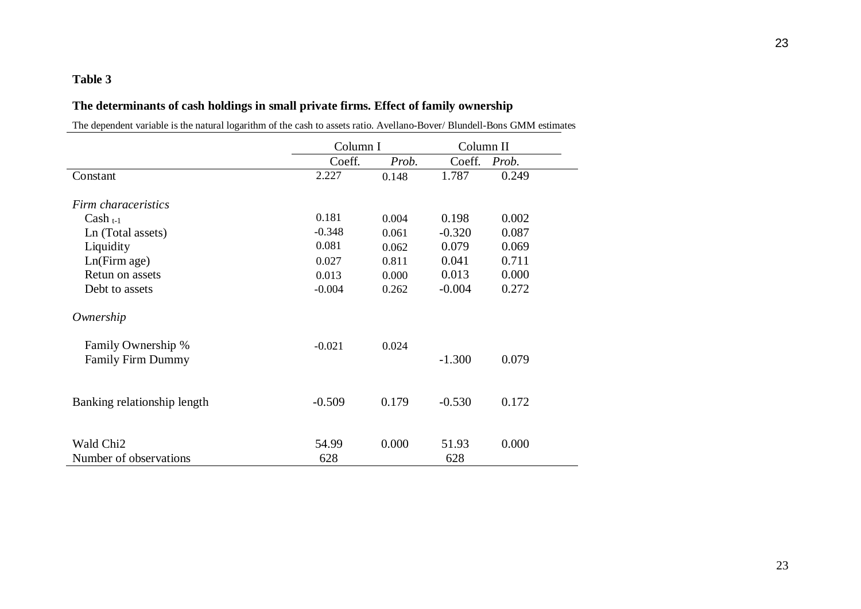### **The determinants of cash holdings in small private firms. Effect of family ownership**

The dependent variable is the natural logarithm of the cash to assets ratio. Avellano-Bover/ Blundell-Bons GMM estimates

|                             | Column I |       | Column II |       |
|-----------------------------|----------|-------|-----------|-------|
|                             | Coeff.   | Prob. | Coeff.    | Prob. |
| Constant                    | 2.227    | 0.148 | 1.787     | 0.249 |
| Firm characeristics         |          |       |           |       |
| $Cash_{t-1}$                | 0.181    | 0.004 | 0.198     | 0.002 |
| Ln (Total assets)           | $-0.348$ | 0.061 | $-0.320$  | 0.087 |
| Liquidity                   | 0.081    | 0.062 | 0.079     | 0.069 |
| Ln(Firm age)                | 0.027    | 0.811 | 0.041     | 0.711 |
| Retun on assets             | 0.013    | 0.000 | 0.013     | 0.000 |
| Debt to assets              | $-0.004$ | 0.262 | $-0.004$  | 0.272 |
| Ownership                   |          |       |           |       |
| Family Ownership %          | $-0.021$ | 0.024 |           |       |
| <b>Family Firm Dummy</b>    |          |       | $-1.300$  | 0.079 |
|                             |          |       |           |       |
| Banking relationship length | $-0.509$ | 0.179 | $-0.530$  | 0.172 |
|                             |          |       |           |       |
| Wald Chi <sub>2</sub>       | 54.99    | 0.000 | 51.93     | 0.000 |
| Number of observations      | 628      |       | 628       |       |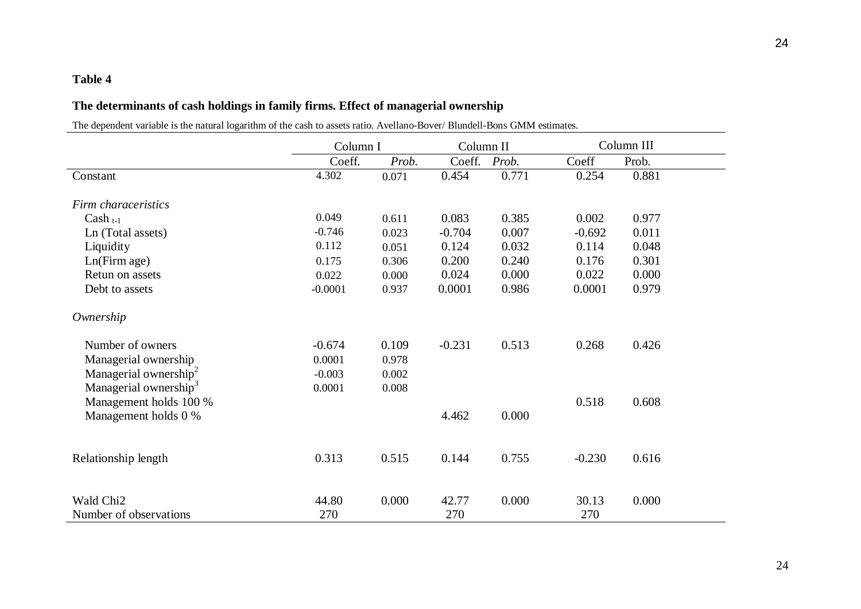## **The determinants of cash holdings in family firms. Effect of managerial ownership**

The dependent variable is the natural logarithm of the cash to assets ratio. Avellano-Bover/ Blundell-Bons GMM estimates.

|                                   | Column I  |       | Column II |       |          | Column III |  |
|-----------------------------------|-----------|-------|-----------|-------|----------|------------|--|
|                                   | Coeff.    | Prob. | Coeff.    | Prob. | Coeff    | Prob.      |  |
| Constant                          | 4.302     | 0.071 | 0.454     | 0.771 | 0.254    | 0.881      |  |
| Firm characeristics               |           |       |           |       |          |            |  |
| $Cash_{t-1}$                      | 0.049     | 0.611 | 0.083     | 0.385 | 0.002    | 0.977      |  |
| Ln (Total assets)                 | $-0.746$  | 0.023 | $-0.704$  | 0.007 | $-0.692$ | 0.011      |  |
| Liquidity                         | 0.112     | 0.051 | 0.124     | 0.032 | 0.114    | 0.048      |  |
| Ln(Firm age)                      | 0.175     | 0.306 | 0.200     | 0.240 | 0.176    | 0.301      |  |
| Retun on assets                   | 0.022     | 0.000 | 0.024     | 0.000 | 0.022    | 0.000      |  |
| Debt to assets                    | $-0.0001$ | 0.937 | 0.0001    | 0.986 | 0.0001   | 0.979      |  |
| Ownership                         |           |       |           |       |          |            |  |
| Number of owners                  | $-0.674$  | 0.109 | $-0.231$  | 0.513 | 0.268    | 0.426      |  |
| Managerial ownership              | 0.0001    | 0.978 |           |       |          |            |  |
| Managerial ownership <sup>2</sup> | $-0.003$  | 0.002 |           |       |          |            |  |
| Managerial ownership <sup>3</sup> | 0.0001    | 0.008 |           |       |          |            |  |
| Management holds 100 %            |           |       |           |       | 0.518    | 0.608      |  |
| Management holds 0 %              |           |       | 4.462     | 0.000 |          |            |  |
| Relationship length               | 0.313     | 0.515 | 0.144     | 0.755 | $-0.230$ | 0.616      |  |
|                                   |           |       |           |       |          |            |  |
| Wald Chi <sub>2</sub>             | 44.80     | 0.000 | 42.77     | 0.000 | 30.13    | 0.000      |  |
| Number of observations            | 270       |       | 270       |       | 270      |            |  |